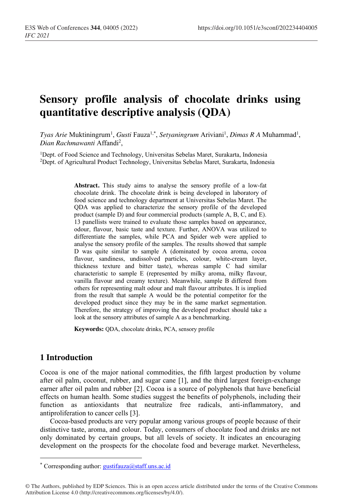# **Sensory profile analysis of chocolate drinks using quantitative descriptive analysis (QDA)**

 $T$ y*as Arie M*uktiningrum<sup>1</sup>, *Gusti* Fauza<sup>1,\*</sup>, *Setyaningrum A*riviani<sup>1</sup>, *Dimas R A M*uhammad<sup>1</sup>, Dian Rachmawanti Affandi<sup>2</sup>,

1Dept. of Food Science and Technology, Universitas Sebelas Maret, Surakarta, Indonesia 2Dept. of Agricultural Product Technology, Universitas Sebelas Maret, Surakarta, Indonesia

> **Abstract.** This study aims to analyse the sensory profile of a low-fat chocolate drink. The chocolate drink is being developed in laboratory of food science and technology department at Universitas Sebelas Maret. The QDA was applied to characterize the sensory profile of the developed product (sample D) and four commercial products (sample A, B, C, and E). 13 panellists were trained to evaluate those samples based on appearance, odour, flavour, basic taste and texture. Further, ANOVA was utilized to differentiate the samples, while PCA and Spider web were applied to analyse the sensory profile of the samples. The results showed that sample D was quite similar to sample A (dominated by cocoa aroma, cocoa flavour, sandiness, undissolved particles, colour, white-cream layer, thickness texture and bitter taste), whereas sample C had similar characteristic to sample E (represented by milky aroma, milky flavour, vanilla flavour and creamy texture). Meanwhile, sample B differed from others for representing malt odour and malt flavour attributes. It is implied from the result that sample A would be the potential competitor for the developed product since they may be in the same market segmentation. Therefore, the strategy of improving the developed product should take a look at the sensory attributes of sample A as a benchmarking.

**Keywords:** QDA, chocolate drinks, PCA, sensory profile

# **1 Introduction**

Cocoa is one of the major national commodities, the fifth largest production by volume after oil palm, coconut, rubber, and sugar cane [1], and the third largest foreign-exchange earner after oil palm and rubber [2]. Cocoa is a source of polyphenols that have beneficial effects on human health. Some studies suggest the benefits of polyphenols, including their function as antioxidants that neutralize free radicals, anti-inflammatory, and antiproliferation to cancer cells [3].

Cocoa-based products are very popular among various groups of people because of their distinctive taste, aroma, and colour. Today, consumers of chocolate food and drinks are not only dominated by certain groups, but all levels of society. It indicates an encouraging development on the prospects for the chocolate food and beverage market. Nevertheless,

<sup>\*</sup> Corresponding author: gustifauza@staff.uns.ac.id

<sup>©</sup> The Authors, published by EDP Sciences. This is an open access article distributed under the terms of the Creative Commons Attribution License 4.0 (http://creativecommons.org/licenses/by/4.0/).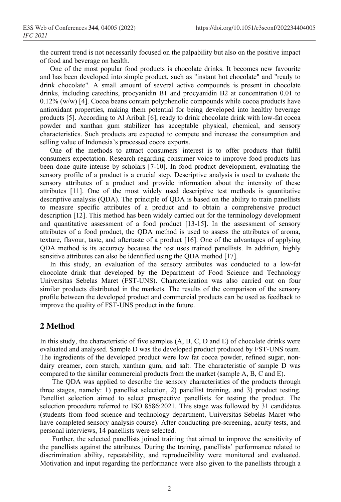the current trend is not necessarily focused on the palpability but also on the positive impact of food and beverage on health.

One of the most popular food products is chocolate drinks. It becomes new favourite and has been developed into simple product, such as "instant hot chocolate" and "ready to drink chocolate". A small amount of several active compounds is present in chocolate drinks, including catechins, procyanidin B1 and procyanidin B2 at concentration 0.01 to 0.12% (w/w) [4]. Cocoa beans contain polyphenolic compounds while cocoa products have antioxidant properties, making them potential for being developed into healthy beverage products [5]. According to Al Aribah [6], ready to drink chocolate drink with low-fat cocoa powder and xanthan gum stabilizer has acceptable physical, chemical, and sensory characteristics. Such products are expected to compete and increase the consumption and selling value of Indonesia's processed cocoa exports.

One of the methods to attract consumers' interest is to offer products that fulfil consumers expectation. Research regarding consumer voice to improve food products has been done quite intense by scholars [7-10]. In food product development, evaluating the sensory profile of a product is a crucial step. Descriptive analysis is used to evaluate the sensory attributes of a product and provide information about the intensity of these attributes [11]. One of the most widely used descriptive test methods is quantitative descriptive analysis (QDA). The principle of QDA is based on the ability to train panellists to measure specific attributes of a product and to obtain a comprehensive product description [12]. This method has been widely carried out for the terminology development and quantitative assessment of a food product [13-15]. In the assessment of sensory attributes of a food product, the QDA method is used to assess the attributes of aroma, texture, flavour, taste, and aftertaste of a product [16]. One of the advantages of applying QDA method is its accuracy because the test uses trained panellists. In addition, highly sensitive attributes can also be identified using the QDA method [17].

In this study, an evaluation of the sensory attributes was conducted to a low-fat chocolate drink that developed by the Department of Food Science and Technology Universitas Sebelas Maret (FST-UNS). Characterization was also carried out on four similar products distributed in the markets. The results of the comparison of the sensory profile between the developed product and commercial products can be used as feedback to improve the quality of FST-UNS product in the future.

# **2 Method**

In this study, the characteristic of five samples  $(A, B, C, D, A)$  and E) of chocolate drinks were evaluated and analysed. Sample D was the developed product produced by FST-UNS team. The ingredients of the developed product were low fat cocoa powder, refined sugar, nondairy creamer, corn starch, xanthan gum, and salt. The characteristic of sample D was compared to the similar commercial products from the market (sample A, B, C and E).

The QDA was applied to describe the sensory characteristics of the products through three stages, namely: 1) panellist selection, 2) panellist training, and 3) product testing. Panellist selection aimed to select prospective panellists for testing the product. The selection procedure referred to ISO 8586:2021. This stage was followed by 31 candidates (students from food science and technology department, Universitas Sebelas Maret who have completed sensory analysis course). After conducting pre-screening, acuity tests, and personal interviews, 14 panellists were selected.

Further, the selected panellists joined training that aimed to improve the sensitivity of the panellists against the attributes. During the training, panellists' performance related to discrimination ability, repeatability, and reproducibility were monitored and evaluated. Motivation and input regarding the performance were also given to the panellists through a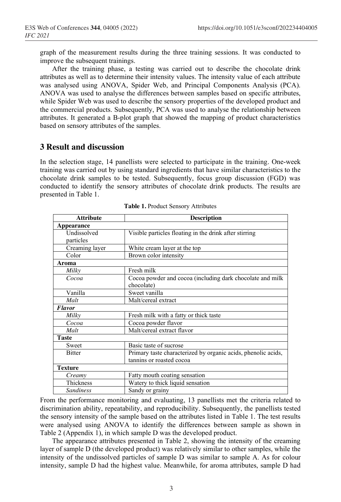graph of the measurement results during the three training sessions. It was conducted to improve the subsequent trainings.

After the training phase, a testing was carried out to describe the chocolate drink attributes as well as to determine their intensity values. The intensity value of each attribute was analysed using ANOVA, Spider Web, and Principal Components Analysis (PCA). ANOVA was used to analyse the differences between samples based on specific attributes, while Spider Web was used to describe the sensory properties of the developed product and the commercial products. Subsequently, PCA was used to analyse the relationship between attributes. It generated a B-plot graph that showed the mapping of product characteristics based on sensory attributes of the samples.

#### **3 Result and discussion**

In the selection stage, 14 panellists were selected to participate in the training. One-week training was carried out by using standard ingredients that have similar characteristics to the chocolate drink samples to be tested. Subsequently, focus group discussion (FGD) was conducted to identify the sensory attributes of chocolate drink products. The results are presented in Table 1.

| <b>Attribute</b>  | <b>Description</b>                                            |
|-------------------|---------------------------------------------------------------|
| <b>Appearance</b> |                                                               |
| Undissolved       | Visible particles floating in the drink after stirring        |
| particles         |                                                               |
| Creaming layer    | White cream layer at the top                                  |
| Color             | Brown color intensity                                         |
| Aroma             |                                                               |
| Milky             | Fresh milk                                                    |
| Cocoa             | Cocoa powder and cocoa (including dark chocolate and milk     |
|                   | chocolate)                                                    |
| Vanilla           | Sweet vanilla                                                 |
| Malt              | Malt/cereal extract                                           |
| <b>Flavor</b>     |                                                               |
| Milky             | Fresh milk with a fatty or thick taste                        |
| Cocoa             | Cocoa powder flavor                                           |
| Malt              | Malt/cereal extract flavor                                    |
| <b>Taste</b>      |                                                               |
| Sweet             | Basic taste of sucrose                                        |
| <b>Bitter</b>     | Primary taste characterized by organic acids, phenolic acids, |
|                   | tannins or roasted cocoa                                      |
| <b>Texture</b>    |                                                               |
| Creamy            | Fatty mouth coating sensation                                 |
| Thickness         | Watery to thick liquid sensation                              |
| <b>Sandiness</b>  | Sandy or grainy                                               |

**Table 1.** Product Sensory Attributes

From the performance monitoring and evaluating, 13 panellists met the criteria related to discrimination ability, repeatability, and reproducibility. Subsequently, the panellists tested the sensory intensity of the sample based on the attributes listed in Table 1. The test results were analysed using ANOVA to identify the differences between sample as shown in Table 2 (Appendix 1), in which sample D was the developed product.

The appearance attributes presented in Table 2, showing the intensity of the creaming layer of sample D (the developed product) was relatively similar to other samples, while the intensity of the undissolved particles of sample D was similar to sample A. As for colour intensity, sample D had the highest value. Meanwhile, for aroma attributes, sample D had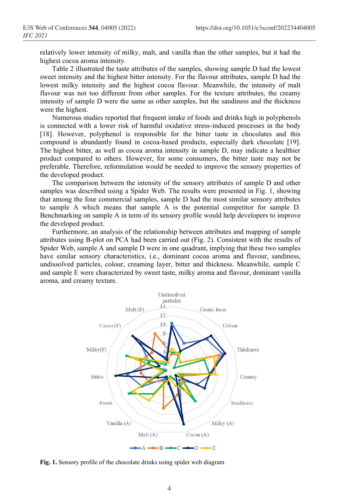relatively lower intensity of milky, malt, and vanilla than the other samples, but it had the highest cocoa aroma intensity.

Table 2 illustrated the taste attributes of the samples, showing sample D had the lowest sweet intensity and the highest bitter intensity. For the flavour attributes, sample D had the lowest milky intensity and the highest cocoa flavour. Meanwhile, the intensity of malt flavour was not too different from other samples. For the texture attributes, the creamy intensity of sample D were the same as other samples, but the sandiness and the thickness were the highest.

Numerous studies reported that frequent intake of foods and drinks high in polyphenols is connected with a lower risk of harmful oxidative stress-induced processes in the body [18]. However, polyphenol is responsible for the bitter taste in chocolates and this compound is abundantly found in cocoa-based products, especially dark chocolate [19]. The highest bitter, as well as cocoa aroma intensity in sample D, may indicate a healthier product compared to others. However, for some consumers, the bitter taste may not be preferable. Therefore, reformulation would be needed to improve the sensory properties of the developed product.

The comparison between the intensity of the sensory attributes of sample D and other samples was described using a Spider Web. The results were presented in Fig. 1, showing that among the four commercial samples, sample D had the most similar sensory attributes to sample A which means that sample A is the potential competitor for sample D. Benchmarking on sample A in term of its sensory profile would help developers to improve the developed product.

Furthermore, an analysis of the relationship between attributes and mapping of sample attributes using B-plot on PCA had been carried out (Fig. 2). Consistent with the results of Spider Web, sample A and sample D were in one quadrant, implying that these two samples have similar sensory characteristics, i.e., dominant cocoa aroma and flavour, sandiness, undissolved particles, colour, creaming layer, bitter and thickness. Meanwhile, sample C and sample E were characterized by sweet taste, milky aroma and flavour, dominant vanilla aroma, and creamy texture.



**Fig. 1.** Sensory profile of the chocolate drinks using spider web diagram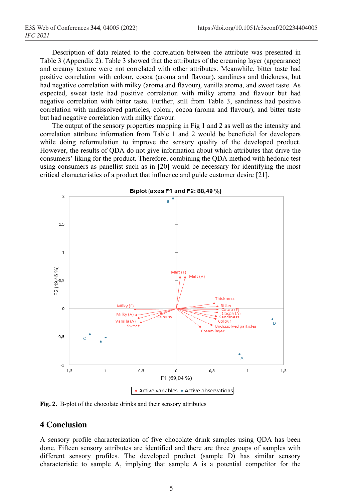Description of data related to the correlation between the attribute was presented in Table 3 (Appendix 2). Table 3 showed that the attributes of the creaming layer (appearance) and creamy texture were not correlated with other attributes. Meanwhile, bitter taste had positive correlation with colour, cocoa (aroma and flavour), sandiness and thickness, but had negative correlation with milky (aroma and flavour), vanilla aroma, and sweet taste. As expected, sweet taste had positive correlation with milky aroma and flavour but had negative correlation with bitter taste. Further, still from Table 3, sandiness had positive correlation with undissolved particles, colour, cocoa (aroma and flavour), and bitter taste but had negative correlation with milky flavour.

The output of the sensory properties mapping in Fig 1 and 2 as well as the intensity and correlation attribute information from Table 1 and 2 would be beneficial for developers while doing reformulation to improve the sensory quality of the developed product. However, the results of QDA do not give information about which attributes that drive the consumers' liking for the product. Therefore, combining the QDA method with hedonic test using consumers as panellist such as in [20] would be necessary for identifying the most critical characteristics of a product that influence and guide customer desire [21].



**Fig. 2.** B-plot of the chocolate drinks and their sensory attributes

### **4 Conclusion**

A sensory profile characterization of five chocolate drink samples using QDA has been done. Fifteen sensory attributes are identified and there are three groups of samples with different sensory profiles. The developed product (sample D) has similar sensory characteristic to sample A, implying that sample A is a potential competitor for the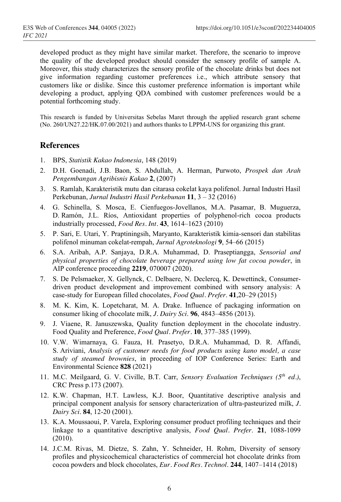developed product as they might have similar market. Therefore, the scenario to improve the quality of the developed product should consider the sensory profile of sample A. Moreover, this study characterizes the sensory profile of the chocolate drinks but does not give information regarding customer preferences i.e., which attribute sensory that customers like or dislike. Since this customer preference information is important while developing a product, applying QDA combined with customer preferences would be a potential forthcoming study.

This research is funded by Universitas Sebelas Maret through the applied research grant scheme (No. 260/UN27.22/HK.07.00/2021) and authors thanks to LPPM-UNS for organizing this grant.

## **References**

- 1. BPS, *Statistik Kakao Indonesia*, 148 (2019)
- 2. D.H. Goenadi, J.B. Baon, S. Abdullah, A. Herman, Purwoto, *Prospek dan Arah Pengembangan Agribisnis Kakao* **2**, (2007)
- 3. S. Ramlah, Karakteristik mutu dan citarasa cokelat kaya polifenol. Jurnal Industri Hasil Perkebunan, *Jurnal Industri Hasil Perkebunan* **11**, 3 – 32 (2016)
- 4. G. Schinella, S. Mosca, E. Cienfuegos-Jovellanos, M.A. Pasamar, B. Muguerza, D. Ramón, J.L. Ríos, Antioxidant properties of polyphenol-rich cocoa products industrially processed, *Food Res. Int.* **43**, 1614–1623 (2010)
- 5. P. Sari, E. Utari, Y. Praptiningsih, Maryanto, Karakteristik kimia-sensori dan stabilitas polifenol minuman cokelat-rempah, *Jurnal Agroteknologi* **9**, 54–66 (2015)
- 6. S.A. Aribah, A.P. Sanjaya, D.R.A. Muhammad, D. Praseptiangga, *Sensorial and physical properties of chocolate beverage prepared using low fat cocoa powder*, in AIP conference proceeding **2219**, 070007 (2020).
- 7. S. De Pelsmaeker, X. Gellynck, C. Delbaere, N. Declercq, K. Dewettinck, Consumerdriven product development and improvement combined with sensory analysis: A case-study for European filled chocolates, *Food Qual. Prefer*. **41**,20–29 (2015)
- 8. M. K. Kim, K. Lopetcharat, M. A. Drake. Influence of packaging information on consumer liking of chocolate milk, *J. Dairy Sci*. **96**, 4843–4856 (2013).
- 9. J. Viaene, R. Januszewska, Quality function deployment in the chocolate industry. Food Quality and Preference, *Food Qual. Prefer.* **10**, 377–385 (1999).
- 10. V.W. Wimarnaya, G. Fauza, H. Prasetyo, D.R.A. Muhammad, D. R. Affandi, S. Ariviani, *Analysis of customer needs for food products using kano model, a case study of steamed brownies*, in proceeding of IOP Conference Series: Earth and Environmental Science **828** (2021)
- 11. M.C. Meilgaard, G. V. Civille, B.T. Carr, *Sensory Evaluation Techniques (5th ed.)*, CRC Press p.173 (2007).
- 12. K.W. Chapman, H.T. Lawless, K.J. Boor, Quantitative descriptive analysis and principal component analysis for sensory characterization of ultra-pasteurized milk, *J. Dairy Sci*. **84**, 12-20 (2001).
- 13. K.A. Moussaoui, P. Varela, Exploring consumer product profiling techniques and their linkage to a quantitative descriptive analysis, *Food Qual. Prefer*. **21**, 1088-1099 (2010).
- 14. J.C.M. Rivas, M. Dietze, S. Zahn, Y. Schneider, H. Rohm, Diversity of sensory profiles and physicochemical characteristics of commercial hot chocolate drinks from cocoa powders and block chocolates, *Eur. Food Res. Technol*. **244**, 1407–1414 (2018)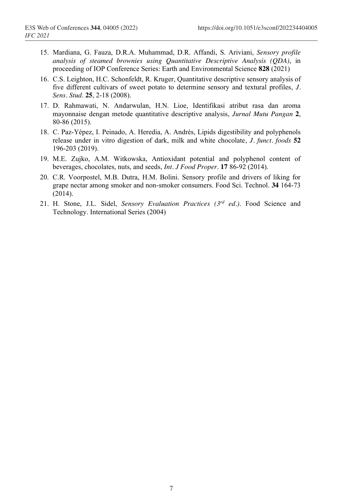- 15. Mardiana, G. Fauza, D.R.A. Muhammad, D.R. Affandi, S. Ariviani, *Sensory profile analysis of steamed brownies using Quantitative Descriptive Analysis (QDA)*, in proceeding of IOP Conference Series: Earth and Environmental Science **828** (2021)
- 16. C.S. Leighton, H.C. Schonfeldt, R. Kruger, Quantitative descriptive sensory analysis of five different cultivars of sweet potato to determine sensory and textural profiles, *J. Sens. Stud*. **25**, 2-18 (2008).
- 17. D. Rahmawati, N. Andarwulan, H.N. Lioe, Identifikasi atribut rasa dan aroma mayonnaise dengan metode quantitative descriptive analysis, *Jurnal Mutu Pangan* **2**, 80-86 (2015).
- 18. C. Paz-Yépez, I. Peinado, A. Heredia, A. Andrés, Lipids digestibility and polyphenols release under in vitro digestion of dark, milk and white chocolate, *J. funct. foods* **52** 196-203 (2019).
- 19. M.E. Zujko, A.M. Witkowska, Antioxidant potential and polyphenol content of beverages, chocolates, nuts, and seeds, *Int. J Food Proper*. **17** 86-92 (2014).
- 20. C.R. Voorpostel, M.B. Dutra, H.M. Bolini. Sensory profile and drivers of liking for grape nectar among smoker and non-smoker consumers. Food Sci. Technol. **34** 164-73 (2014).
- 21. H. Stone, J.L. Sidel, *Sensory Evaluation Practices (3rd ed.)*. Food Science and Technology. International Series (2004)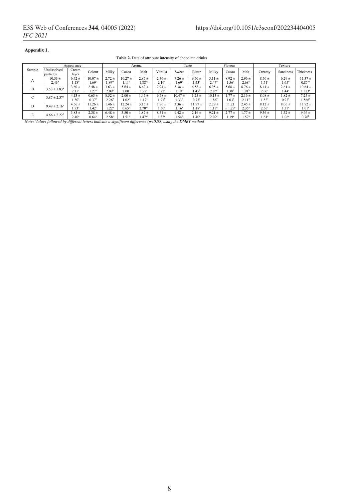#### **Appendix 1.**

**Table 2.** Data of attribute intensity of chocolate drinks

|                 | Appearance                       |                                 |                                   | Aroma                           |                                 |                                 |                                 | Taste                           |                                | Flavour                         |                                  |                                 | Texture                         |                                 |                                     |
|-----------------|----------------------------------|---------------------------------|-----------------------------------|---------------------------------|---------------------------------|---------------------------------|---------------------------------|---------------------------------|--------------------------------|---------------------------------|----------------------------------|---------------------------------|---------------------------------|---------------------------------|-------------------------------------|
| Sample          | Undissolved<br>particles         | ream?<br>laver                  | Colour                            | Milky                           | Cocoa                           | Malt                            | Vanilla                         | Sweet                           | Bitter                         | Milky                           | Cacao                            | Malt                            | Creamv                          | Sandiness                       | Thickness                           |
| А               | $10.33 \pm$<br>2.43 <sup>b</sup> | $6.42 \pm$<br>$1.18^{h}$        | $10.07 +$<br>.69 <sup>c</sup>     | $2.72 \pm$<br>.89 <sup>ab</sup> | $10.27 +$<br>1.11 <sup>d</sup>  | $2.87 +$<br>.88 <sup>bc</sup>   | $2.36 \pm$<br>2.16 <sup>a</sup> | $7.26 \pm$<br>.69 <sup>c</sup>  | $9.50 \pm$<br>.43 <sup>c</sup> | $5.11 \pm$<br>2.47 <sup>b</sup> | $8.92 \pm$<br>.56 <sup>c</sup>   | $2.96 \pm$<br>2.68 <sup>a</sup> | $8.50 \pm$<br>$1.71^{\circ}$    | $6.29 \pm$<br>$1.65^{\rm b}$    | $11.37 \pm$<br>0.85 <sup>cd</sup>   |
| B               | $3.53 \pm 1.83^{\circ}$          | $3.60 \pm$<br>$2.15^{\circ}$    | $2.48 \pm$<br>.27 <sup>b</sup>    | $3.63 \pm$<br>2.09 <sup>b</sup> | $5.64 \pm$<br>2.00 <sup>c</sup> | $8.62 \pm$<br>1.92 <sup>c</sup> | $2.94 \pm$<br>2.22 <sup>a</sup> | $5.38 \pm$<br>.19 <sup>b</sup>  | $6.58 \pm$<br>.45 <sup>b</sup> | $6.95 \pm$<br>2.85°             | 5.68 $\pm$<br>$1.38^{b}$         | $8.76 \pm$<br>1.91 <sup>b</sup> | $8.41 \pm$<br>2.06 <sup>a</sup> | $2.61 \pm$<br>$1.44^a$          | $10.64 \pm$<br>$1.323$ <sup>c</sup> |
| $\sqrt{2}$<br>◡ | $3.87 \pm 2.37^{\circ}$          | $4.13 \pm$<br>$.80^{\circ}$     | $0.63 \pm$<br>$0.37$ <sup>a</sup> | $8.52 \pm$<br>$2.26^{b}$        | $2.00 \pm$<br>$1.02^{\circ}$    | $.45 \pm .$<br>$1.17^{\circ}$   | $6.58 \pm$<br>$1.91^{\circ}$    | $10.47 \pm$<br>.33 <sup>d</sup> | $.25 +$<br>$0.73^{a}$          | $10.13 +$<br>.86°               | $1.77 +$<br>$1.03^{\circ}$       | $2.16 \pm$<br>2.11 <sup>a</sup> | $8.08 \pm$<br>$1.82^{a}$        | $1.82 \pm$<br>0.93 <sup>2</sup> | $7.25 +$<br>1.566ª                  |
| D               | $9.49 \pm 2.16^b$                | $4.56 \pm$<br>$1.73^{\circ}$    | $1.26 \pm$<br>$1.42^\circ$        | $.46 \pm$<br>.22 <sup>a</sup>   | $12.24 \pm$<br>$0.65^\circ$     | $3.15 \pm$<br>$2.70^{ab}$       | $.86 \pm$<br>$1.50^{\circ}$     | $3.36 \pm$<br>1.16 <sup>a</sup> | $11.97 +$<br>.18 <sup>c</sup>  | $2.79 +$<br>1.17 <sup>a</sup>   | 11.21<br>$\pm 1.29$ <sup>e</sup> | $2.45 \pm$<br>2.35 <sup>a</sup> | $8.12 \pm$<br>2.56 <sup>a</sup> | $8.06 \pm$<br>1.37 <sup>c</sup> | $11.92 \pm$<br>1.01 <sup>d</sup>    |
| E               | $4.66 \pm 2.22^{\circ}$          | $3.83 \pm$<br>2.40 <sup>3</sup> | $2.38 \pm$<br>0.64 <sup>b</sup>   | $6.48 \pm$<br>$2.58^{\circ}$    | $3.50 \pm$<br>1.51 <sup>b</sup> | $1.87 +$<br>.47 <sup>ab</sup>   | $8.31 \pm$<br>.85 <sup>c</sup>  | $9.42 \pm$<br>.54 <sup>d</sup>  | $2.16 \pm$<br>$.40^{\circ}$    | $9.21 \pm$<br>2.02 <sup>c</sup> | $2.77 \pm$<br>1.19 <sup>a</sup>  | $.77 +$<br>$1.57^{\circ}$       | $9.36 \pm$<br>$1.61^a$          | $1.52 \pm$<br>.06 <sup>a</sup>  | $9.46 \pm$<br>0.76 <sup>b</sup>     |

2.40a 0.64b 2.58c 1.51b 1.47ab 1.85c 1.54d 1.40a *Note: Values followed by different letters indicate a significant difference (p<0.05) using the DMRT method*